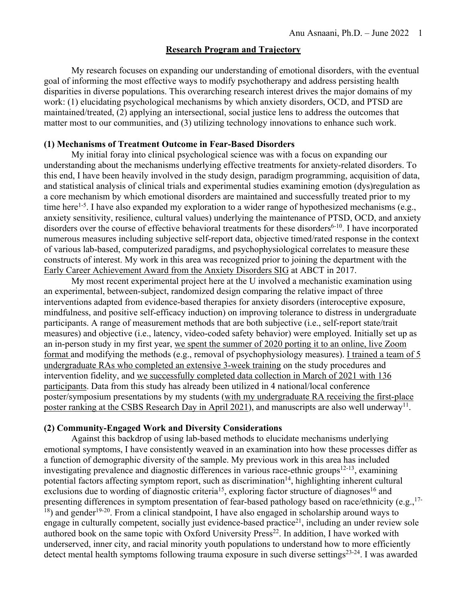## **Research Program and Trajectory**

My research focuses on expanding our understanding of emotional disorders, with the eventual goal of informing the most effective ways to modify psychotherapy and address persisting health disparities in diverse populations. This overarching research interest drives the major domains of my work: (1) elucidating psychological mechanisms by which anxiety disorders, OCD, and PTSD are maintained/treated, (2) applying an intersectional, social justice lens to address the outcomes that matter most to our communities, and (3) utilizing technology innovations to enhance such work.

## **(1) Mechanisms of Treatment Outcome in Fear-Based Disorders**

My initial foray into clinical psychological science was with a focus on expanding our understanding about the mechanisms underlying effective treatments for anxiety-related disorders. To this end, I have been heavily involved in the study design, paradigm programming, acquisition of data, and statistical analysis of clinical trials and experimental studies examining emotion (dys)regulation as a core mechanism by which emotional disorders are maintained and successfully treated prior to my time here<sup>1-5</sup>. I have also expanded my exploration to a wider range of hypothesized mechanisms (e.g., anxiety sensitivity, resilience, cultural values) underlying the maintenance of PTSD, OCD, and anxiety disorders over the course of effective behavioral treatments for these disorders<sup>6-10</sup>. I have incorporated numerous measures including subjective self-report data, objective timed/rated response in the context of various lab-based, computerized paradigms, and psychophysiological correlates to measure these constructs of interest. My work in this area was recognized prior to joining the department with the Early Career Achievement Award from the Anxiety Disorders SIG at ABCT in 2017.

My most recent experimental project here at the U involved a mechanistic examination using an experimental, between-subject, randomized design comparing the relative impact of three interventions adapted from evidence-based therapies for anxiety disorders (interoceptive exposure, mindfulness, and positive self-efficacy induction) on improving tolerance to distress in undergraduate participants. A range of measurement methods that are both subjective (i.e., self-report state/trait measures) and objective (i.e., latency, video-coded safety behavior) were employed. Initially set up as an in-person study in my first year, we spent the summer of 2020 porting it to an online, live Zoom format and modifying the methods (e.g., removal of psychophysiology measures). I trained a team of 5 undergraduate RAs who completed an extensive 3-week training on the study procedures and intervention fidelity, and we successfully completed data collection in March of 2021 with 136 participants. Data from this study has already been utilized in 4 national/local conference poster/symposium presentations by my students (with my undergraduate RA receiving the first-place poster ranking at the CSBS Research Day in April 2021), and manuscripts are also well underway<sup>11</sup>.

## **(2) Community-Engaged Work and Diversity Considerations**

Against this backdrop of using lab-based methods to elucidate mechanisms underlying emotional symptoms, I have consistently weaved in an examination into how these processes differ as a function of demographic diversity of the sample. My previous work in this area has included investigating prevalence and diagnostic differences in various race-ethnic groups $12-13$ , examining potential factors affecting symptom report, such as discrimination<sup>14</sup>, highlighting inherent cultural exclusions due to wording of diagnostic criteria<sup>15</sup>, exploring factor structure of diagnoses<sup>16</sup> and presenting differences in symptom presentation of fear-based pathology based on race/ethnicity (e.g., <sup>17-</sup> <sup>18</sup>) and gender<sup>19-20</sup>. From a clinical standpoint, I have also engaged in scholarship around ways to engage in culturally competent, socially just evidence-based practice $21$ , including an under review sole authored book on the same topic with Oxford University Press<sup>22</sup>. In addition, I have worked with underserved, inner city, and racial minority youth populations to understand how to more efficiently detect mental health symptoms following trauma exposure in such diverse settings<sup>23-24</sup>. I was awarded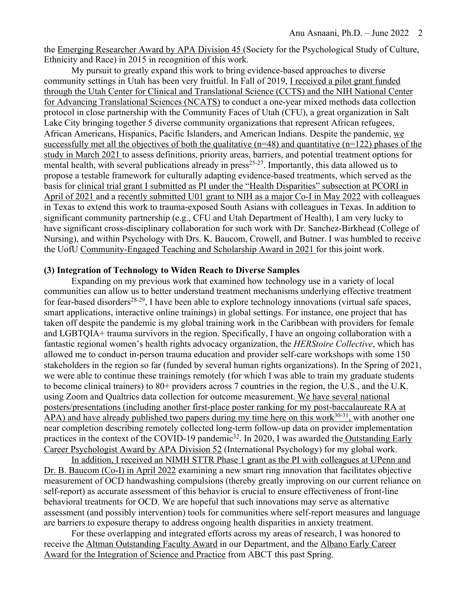the Emerging Researcher Award by APA Division 45 (Society for the Psychological Study of Culture, Ethnicity and Race) in 2015 in recognition of this work.

My pursuit to greatly expand this work to bring evidence-based approaches to diverse community settings in Utah has been very fruitful. In Fall of 2019, I received a pilot grant funded through the Utah Center for Clinical and Translational Science (CCTS) and the NIH National Center for Advancing Translational Sciences (NCATS) to conduct a one-year mixed methods data collection protocol in close partnership with the Community Faces of Utah (CFU), a great organization in Salt Lake City bringing together 5 diverse community organizations that represent African refugees, African Americans, Hispanics, Pacific Islanders, and American Indians. Despite the pandemic, we successfully met all the objectives of both the qualitative  $(n=48)$  and quantitative  $(n=122)$  phases of the study in March 2021 to assess definitions, priority areas, barriers, and potential treatment options for mental health, with several publications already in  $press<sup>25-27</sup>$ . Importantly, this data allowed us to propose a testable framework for culturally adapting evidence-based treatments, which served as the basis for clinical trial grant I submitted as PI under the "Health Disparities" subsection at PCORI in April of 2021 and a recently submitted U01 grant to NIH as a major Co-I in May 2022 with colleagues in Texas to extend this work to trauma-exposed South Asians with colleagues in Texas. In addition to significant community partnership (e.g., CFU and Utah Department of Health), I am very lucky to have significant cross-disciplinary collaboration for such work with Dr. Sanchez-Birkhead (College of Nursing), and within Psychology with Drs. K. Baucom, Crowell, and Butner. I was humbled to receive the UofU Community-Engaged Teaching and Scholarship Award in 2021 for this joint work.

## **(3) Integration of Technology to Widen Reach to Diverse Samples**

Expanding on my previous work that examined how technology use in a variety of local communities can allow us to better understand treatment mechanisms underlying effective treatment for fear-based disorders<sup>28-29</sup>, I have been able to explore technology innovations (virtual safe spaces, smart applications, interactive online trainings) in global settings. For instance, one project that has taken off despite the pandemic is my global training work in the Caribbean with providers for female and LGBTQIA+ trauma survivors in the region. Specifically, I have an ongoing collaboration with a fantastic regional women's health rights advocacy organization, the *HERStoire Collective*, which has allowed me to conduct in-person trauma education and provider self-care workshops with some 150 stakeholders in the region so far (funded by several human rights organizations). In the Spring of 2021, we were able to continue these trainings remotely (for which I was able to train my graduate students to become clinical trainers) to 80+ providers across 7 countries in the region, the U.S., and the U.K. using Zoom and Qualtrics data collection for outcome measurement. We have several national posters/presentations (including another first-place poster ranking for my post-baccalaureate RA at APA) and have already published two papers during my time here on this work<sup>30-31</sup>, with another one near completion describing remotely collected long-term follow-up data on provider implementation practices in the context of the COVID-19 pandemic<sup>32</sup>. In 2020, I was awarded the Outstanding Early Career Psychologist Award by APA Division 52 (International Psychology) for my global work.

In addition, I received an NIMH STTR Phase 1 grant as the PI with colleagues at UPenn and Dr. B. Baucom (Co-I) in April 2022 examining a new smart ring innovation that facilitates objective measurement of OCD handwashing compulsions (thereby greatly improving on our current reliance on self-report) as accurate assessment of this behavior is crucial to ensure effectiveness of front-line behavioral treatments for OCD. We are hopeful that such innovations may serve as alternative assessment (and possibly intervention) tools for communities where self-report measures and language are barriers to exposure therapy to address ongoing health disparities in anxiety treatment.

For these overlapping and integrated efforts across my areas of research, I was honored to receive the Altman Outstanding Faculty Award in our Department, and the Albano Early Career Award for the Integration of Science and Practice from ABCT this past Spring.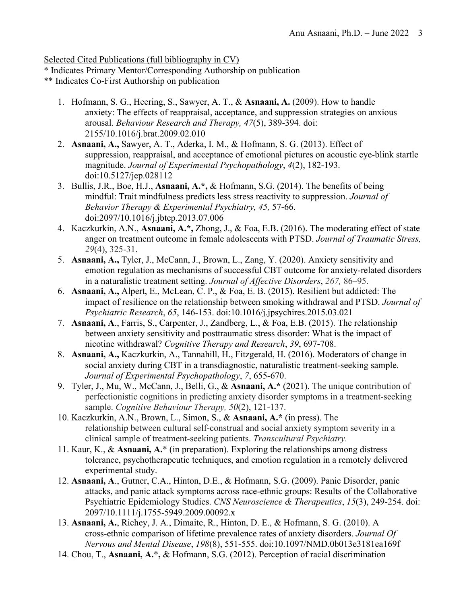Selected Cited Publications (full bibliography in CV)

- \* Indicates Primary Mentor/Corresponding Authorship on publication
- \*\* Indicates Co-First Authorship on publication
	- 1. Hofmann, S. G., Heering, S., Sawyer, A. T., & **Asnaani, A.** (2009). How to handle anxiety: The effects of reappraisal, acceptance, and suppression strategies on anxious arousal. *Behaviour Research and Therapy, 47*(5), 389-394. doi: 2155/10.1016/j.brat.2009.02.010
	- 2. **Asnaani, A.,** Sawyer, A. T., Aderka, I. M., & Hofmann, S. G. (2013). Effect of suppression, reappraisal, and acceptance of emotional pictures on acoustic eye-blink startle magnitude. *Journal of Experimental Psychopathology*, *4*(2), 182-193. doi:10.5127/jep.028112
	- 3. Bullis, J.R., Boe, H.J., **Asnaani, A.\*,** & Hofmann, S.G. (2014). The benefits of being mindful: Trait mindfulness predicts less stress reactivity to suppression. *Journal of Behavior Therapy & Experimental Psychiatry, 45,* 57-66. doi:2097/10.1016/j.jbtep.2013.07.006
	- 4. Kaczkurkin, A.N., **Asnaani, A.\*,** Zhong, J., & Foa, E.B. (2016). The moderating effect of state anger on treatment outcome in female adolescents with PTSD. *Journal of Traumatic Stress, 29*(4), 325-31.
	- 5. **Asnaani, A.,** Tyler, J., McCann, J., Brown, L., Zang, Y. (2020). Anxiety sensitivity and emotion regulation as mechanisms of successful CBT outcome for anxiety-related disorders in a naturalistic treatment setting. *Journal of Affective Disorders*, *267,* 86–95.
	- 6. **Asnaani, A.,** Alpert, E., McLean, C. P., & Foa, E. B. (2015). Resilient but addicted: The impact of resilience on the relationship between smoking withdrawal and PTSD. *Journal of Psychiatric Research*, *65*, 146-153. doi:10.1016/j.jpsychires.2015.03.021
	- 7. **Asnaani, A**., Farris, S., Carpenter, J., Zandberg, L., & Foa, E.B. (2015). The relationship between anxiety sensitivity and posttraumatic stress disorder: What is the impact of nicotine withdrawal? *Cognitive Therapy and Research*, *39*, 697-708.
	- 8. **Asnaani, A.,** Kaczkurkin, A., Tannahill, H., Fitzgerald, H. (2016). Moderators of change in social anxiety during CBT in a transdiagnostic, naturalistic treatment-seeking sample. *Journal of Experimental Psychopathology*, *7*, 655-670.
	- 9. Tyler, J., Mu, W., McCann, J., Belli, G., & **Asnaani, A.\*** (2021). The unique contribution of perfectionistic cognitions in predicting anxiety disorder symptoms in a treatment-seeking sample. *Cognitive Behaviour Therapy, 50*(2), 121-137.
	- 10. Kaczkurkin, A.N., Brown, L., Simon, S., & **Asnaani, A.\*** (in press). The relationship between cultural self-construal and social anxiety symptom severity in a clinical sample of treatment-seeking patients. *Transcultural Psychiatry.*
	- 11. Kaur, K., & **Asnaani, A.**\* (in preparation). Exploring the relationships among distress tolerance, psychotherapeutic techniques, and emotion regulation in a remotely delivered experimental study.
	- 12. **Asnaani, A**., Gutner, C.A., Hinton, D.E., & Hofmann, S.G. (2009). Panic Disorder, panic attacks, and panic attack symptoms across race-ethnic groups: Results of the Collaborative Psychiatric Epidemiology Studies. *CNS Neuroscience & Therapeutics*, *15*(3), 249-254. doi: 2097/10.1111/j.1755-5949.2009.00092.x
	- 13. **Asnaani, A.**, Richey, J. A., Dimaite, R., Hinton, D. E., & Hofmann, S. G. (2010). A cross-ethnic comparison of lifetime prevalence rates of anxiety disorders. *Journal Of Nervous and Mental Disease*, *198*(8), 551-555. doi:10.1097/NMD.0b013e3181ea169f
	- 14. Chou, T., **Asnaani, A.**\***,** & Hofmann, S.G. (2012). Perception of racial discrimination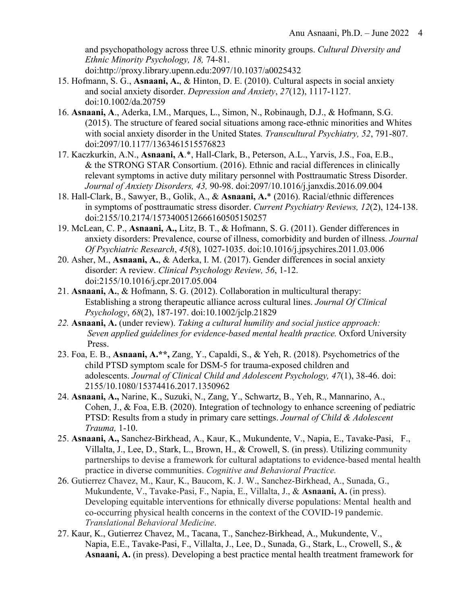and psychopathology across three U.S. ethnic minority groups. *Cultural Diversity and Ethnic Minority Psychology, 18,* 74-81. doi:http://proxy.library.upenn.edu:2097/10.1037/a0025432

- 15. Hofmann, S. G., **Asnaani, A.**, & Hinton, D. E. (2010). Cultural aspects in social anxiety and social anxiety disorder. *Depression and Anxiety*, *27*(12), 1117-1127. doi:10.1002/da.20759
- 16. **Asnaani, A**., Aderka, I.M., Marques, L., Simon, N., Robinaugh, D.J., & Hofmann, S.G. (2015). The structure of feared social situations among race-ethnic minorities and Whites with social anxiety disorder in the United States*. Transcultural Psychiatry, 52*, 791-807. doi:2097/10.1177/1363461515576823
- 17. Kaczkurkin, A.N., **Asnaani, A**.\*, Hall-Clark, B., Peterson, A.L., Yarvis, J.S., Foa, E.B., & the STRONG STAR Consortium. (2016). Ethnic and racial differences in clinically relevant symptoms in active duty military personnel with Posttraumatic Stress Disorder. *Journal of Anxiety Disorders, 43,* 90-98. doi:2097/10.1016/j.janxdis.2016.09.004
- 18. Hall-Clark, B., Sawyer, B., Golik, A., & **Asnaani, A.**\* (2016). Racial/ethnic differences in symptoms of posttraumatic stress disorder. *Current Psychiatry Reviews, 12*(2), 124-138. doi:2155/10.2174/1573400512666160505150257
- 19. McLean, C. P., **Asnaani, A.,** Litz, B. T., & Hofmann, S. G. (2011). Gender differences in anxiety disorders: Prevalence, course of illness, comorbidity and burden of illness. *Journal Of Psychiatric Research*, *45*(8), 1027-1035. doi:10.1016/j.jpsychires.2011.03.006
- 20. Asher, M., **Asnaani, A.**, & Aderka, I. M. (2017). Gender differences in social anxiety disorder: A review. *Clinical Psychology Review, 56*, 1-12. doi:2155/10.1016/j.cpr.2017.05.004
- 21. **Asnaani, A.**, & Hofmann, S. G. (2012). Collaboration in multicultural therapy: Establishing a strong therapeutic alliance across cultural lines. *Journal Of Clinical Psychology*, *68*(2), 187-197. doi:10.1002/jclp.21829
- *22.* **Asnaani, A.** (under review). *Taking a cultural humility and social justice approach: Seven applied guidelines for evidence-based mental health practice.* Oxford University Press.
- 23. Foa, E. B., **Asnaani, A.\*\*,** Zang, Y., Capaldi, S., & Yeh, R. (2018). Psychometrics of the child PTSD symptom scale for DSM-5 for trauma-exposed children and adolescents. *Journal of Clinical Child and Adolescent Psychology, 47*(1), 38-46. doi: 2155/10.1080/15374416.2017.1350962
- 24. **Asnaani, A.,** Narine, K., Suzuki, N., Zang, Y., Schwartz, B., Yeh, R., Mannarino, A., Cohen, J., & Foa, E.B. (2020). Integration of technology to enhance screening of pediatric PTSD: Results from a study in primary care settings. *Journal of Child & Adolescent Trauma,* 1-10.
- 25. **Asnaani, A.,** Sanchez-Birkhead, A., Kaur, K., Mukundente, V., Napia, E., Tavake-Pasi, F., Villalta, J., Lee, D., Stark, L., Brown, H., & Crowell, S. (in press). Utilizing community partnerships to devise a framework for cultural adaptations to evidence-based mental health practice in diverse communities. *Cognitive and Behavioral Practice.*
- 26. Gutierrez Chavez, M., Kaur, K., Baucom, K. J. W., Sanchez-Birkhead, A., Sunada, G., Mukundente, V., Tavake-Pasi, F., Napia, E., Villalta, J., & **Asnaani, A.** (in press). Developing equitable interventions for ethnically diverse populations: Mental health and co-occurring physical health concerns in the context of the COVID-19 pandemic. *Translational Behavioral Medicine*.
- 27. Kaur, K., Gutierrez Chavez, M., Tacana, T., Sanchez-Birkhead, A., Mukundente, V., Napia, E.E., Tavake-Pasi, F., Villalta, J., Lee, D., Sunada, G., Stark, L., Crowell, S., & **Asnaani, A.** (in press). Developing a best practice mental health treatment framework for